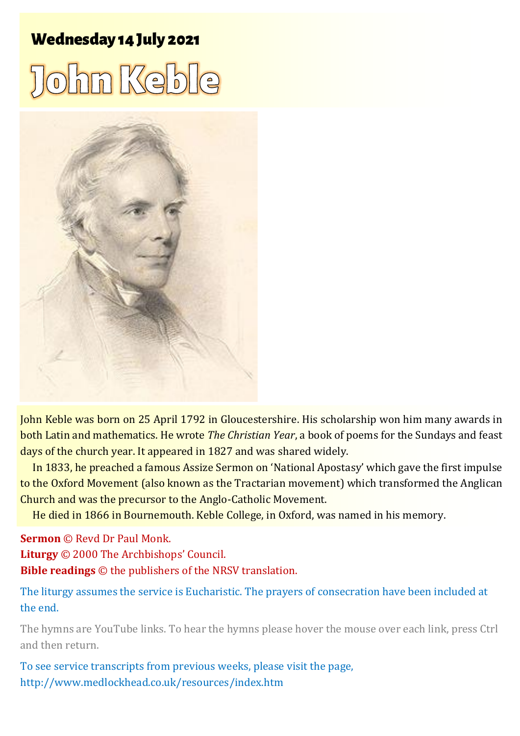# **Wednesday 14 July 2021**





John Keble was born on 25 April 1792 in Gloucestershire. His scholarship won him many awards in both Latin and mathematics. He wrote *The Christian Year*, a book of poems for the Sundays and feast days of the church year. It appeared in 1827 and was shared widely.

In 1833, he preached a famous Assize Sermon on 'National Apostasy' which gave the first impulse to the Oxford Movement (also known as the Tractarian movement) which transformed the Anglican Church and was the precursor to the Anglo-Catholic Movement.

He died in 1866 in Bournemouth. Keble College, in Oxford, was named in his memory.

**Sermon** © Revd Dr Paul Monk. **Liturgy** © 2000 The Archbishops' Council. **Bible readings** © the publishers of the NRSV translation.

The liturgy assumes the service is Eucharistic. The prayers of consecration have been included at the end.

The hymns are YouTube links. To hear the hymns please hover the mouse over each link, press Ctrl and then return.

To see service transcripts from previous weeks, please visit the page, <http://www.medlockhead.co.uk/resources/index.htm>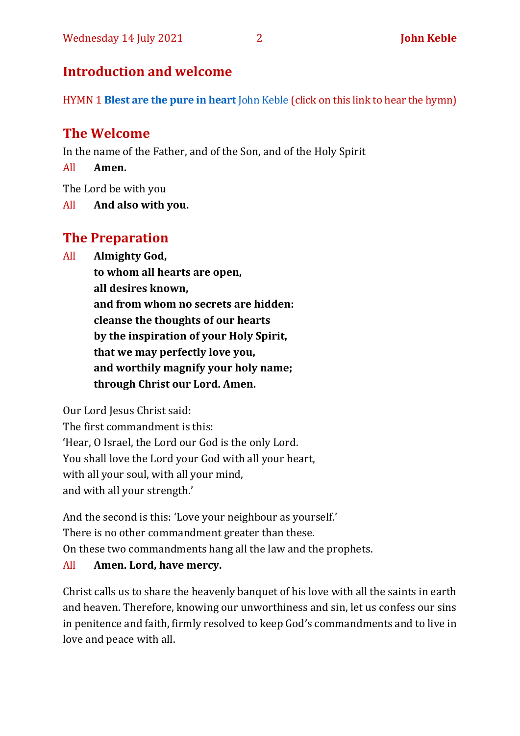# **Introduction and welcome**

HYMN 1 **[Blest are the pure in heart](https://www.youtube.com/watch?v=hpnU2auc3Rk)** John Keble (click on this link to hear the hymn)

# **The Welcome**

In the name of the Father, and of the Son, and of the Holy Spirit

All **Amen.**

The Lord be with you

All **And also with you.**

# **The Preparation**

All **Almighty God,**

**to whom all hearts are open, all desires known, and from whom no secrets are hidden: cleanse the thoughts of our hearts by the inspiration of your Holy Spirit, that we may perfectly love you, and worthily magnify your holy name; through Christ our Lord. Amen.**

Our Lord Jesus Christ said:

The first commandment is this: 'Hear, O Israel, the Lord our God is the only Lord. You shall love the Lord your God with all your heart, with all your soul, with all your mind, and with all your strength.'

And the second is this: 'Love your neighbour as yourself.' There is no other commandment greater than these. On these two commandments hang all the law and the prophets.

# All **Amen. Lord, have mercy.**

Christ calls us to share the heavenly banquet of his love with all the saints in earth and heaven. Therefore, knowing our unworthiness and sin, let us confess our sins in penitence and faith, firmly resolved to keep God's commandments and to live in love and peace with all.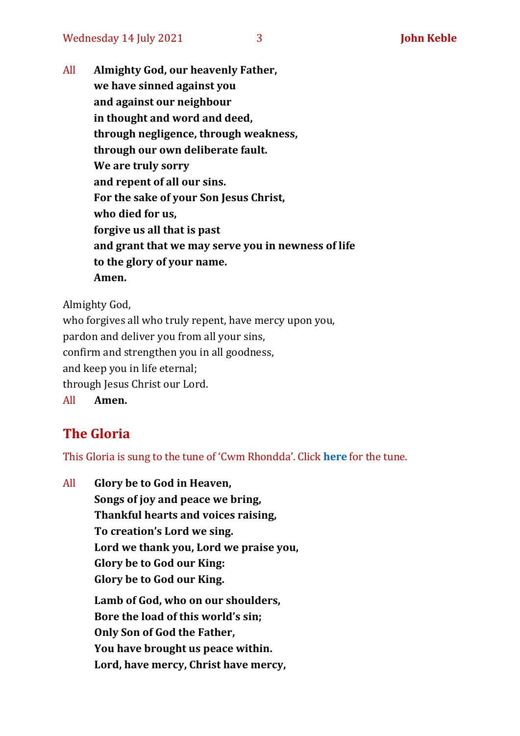All **Almighty God, our heavenly Father, we have sinned against you and against our neighbour in thought and word and deed, through negligence, through weakness, through our own deliberate fault. We are truly sorry and repent of all our sins. For the sake of your Son Jesus Christ, who died for us, forgive us all that is past and grant that we may serve you in newness of life to the glory of your name. Amen.**

Almighty God,

who forgives all who truly repent, have mercy upon you, pardon and deliver you from all your sins, confirm and strengthen you in all goodness, and keep you in life eternal; through Jesus Christ our Lord. All **Amen.**

# **The Gloria**

This Gloria is sung to the tune of 'Cwm Rhondda'. Click **[here](https://www.youtube.com/watch?v=l71MLQ22dIk)** for the tune.

All **Glory be to God in Heaven, Songs of joy and peace we bring, Thankful hearts and voices raising, To creation's Lord we sing. Lord we thank you, Lord we praise you, Glory be to God our King: Glory be to God our King. Lamb of God, who on our shoulders, Bore the load of this world's sin; Only Son of God the Father, You have brought us peace within. Lord, have mercy, Christ have mercy,**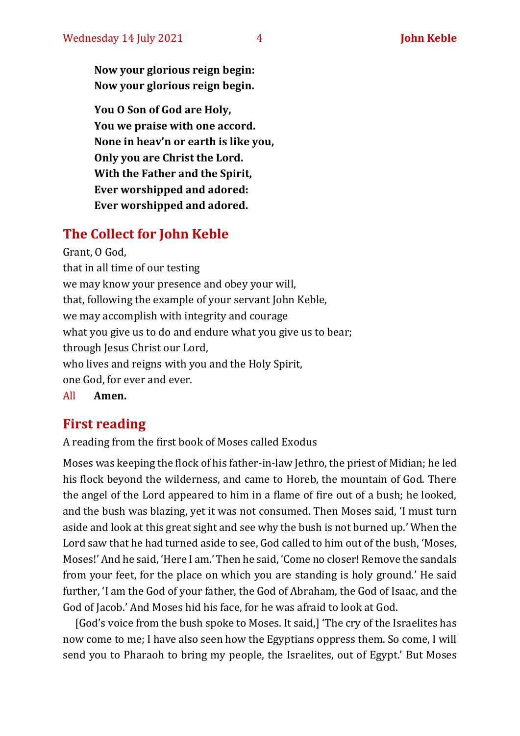**Now your glorious reign begin: Now your glorious reign begin.**

**You O Son of God are Holy, You we praise with one accord. None in heav'n or earth is like you, Only you are Christ the Lord. With the Father and the Spirit, Ever worshipped and adored: Ever worshipped and adored.**

# **The Collect for John Keble**

Grant, O God, that in all time of our testing we may know your presence and obey your will, that, following the example of your servant John Keble, we may accomplish with integrity and courage what you give us to do and endure what you give us to bear; through Jesus Christ our Lord, who lives and reigns with you and the Holy Spirit, one God, for ever and ever.

All **Amen.**

# **First reading**

A reading from the first book of Moses called Exodus

Moses was keeping the flock of his father-in-law Jethro, the priest of Midian; he led his flock beyond the wilderness, and came to Horeb, the mountain of God. There the angel of the Lord appeared to him in a flame of fire out of a bush; he looked, and the bush was blazing, yet it was not consumed. Then Moses said, 'I must turn aside and look at this great sight and see why the bush is not burned up.' When the Lord saw that he had turned aside to see, God called to him out of the bush, 'Moses, Moses!' And he said, 'Here I am.' Then he said, 'Come no closer! Remove the sandals from your feet, for the place on which you are standing is holy ground.' He said further, 'I am the God of your father, the God of Abraham, the God of Isaac, and the God of Jacob.' And Moses hid his face, for he was afraid to look at God.

[God's voice from the bush spoke to Moses. It said,] 'The cry of the Israelites has now come to me; I have also seen how the Egyptians oppress them. So come, I will send you to Pharaoh to bring my people, the Israelites, out of Egypt.' But Moses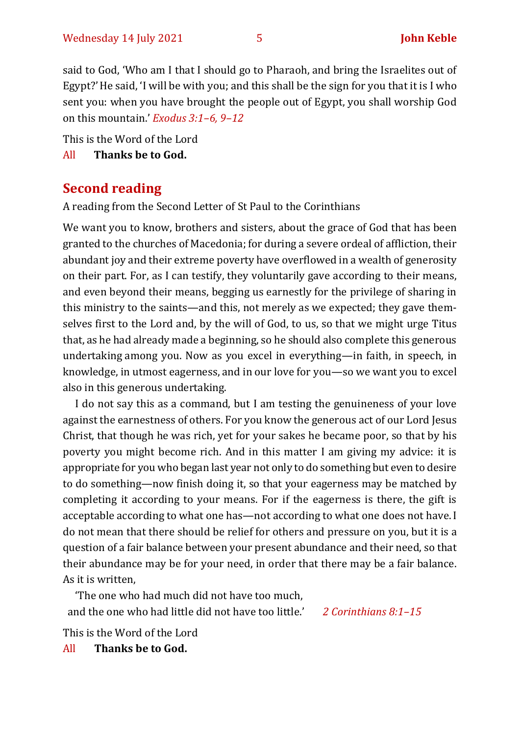said to God, 'Who am I that I should go to Pharaoh, and bring the Israelites out of Egypt?'He said, 'I will be with you; and this shall be the sign for you that it is I who sent you: when you have brought the people out of Egypt, you shall worship God on this mountain.' *Exodus 3:1–6, 9–12*

This is the Word of the Lord

All **Thanks be to God.**

# **Second reading**

A reading from the Second Letter of St Paul to the Corinthians

We want you to know, brothers and sisters, about the grace of God that has been granted to the churches of Macedonia; for during a severe ordeal of affliction, their abundant joy and their extreme poverty have overflowed in a wealth of generosity on their part. For, as I can testify, they voluntarily gave according to their means, and even beyond their means, begging us earnestly for the privilege of sharing in this ministry to the saints—and this, not merely as we expected; they gave themselves first to the Lord and, by the will of God, to us, so that we might urge Titus that, as he had already made a beginning, so he should also complete this generous undertaking among you. Now as you excel in everything—in faith, in speech, in knowledge, in utmost eagerness, and in our love for you—so we want you to excel also in this generous undertaking.

I do not say this as a command, but I am testing the genuineness of your love against the earnestness of others. For you know the generous act of our Lord Jesus Christ, that though he was rich, yet for your sakes he became poor, so that by his poverty you might become rich. And in this matter I am giving my advice: it is appropriate for you who began last year not only to do something but even to desire to do something—now finish doing it, so that your eagerness may be matched by completing it according to your means. For if the eagerness is there, the gift is acceptable according to what one has—not according to what one does not have.I do not mean that there should be relief for others and pressure on you, but it is a question of a fair balance between your present abundance and their need, so that their abundance may be for your need, in order that there may be a fair balance. As it is written,

'The one who had much did not have too much, and the one who had little did not have too little.' *2 Corinthians 8:1–15*

This is the Word of the Lord

All **Thanks be to God.**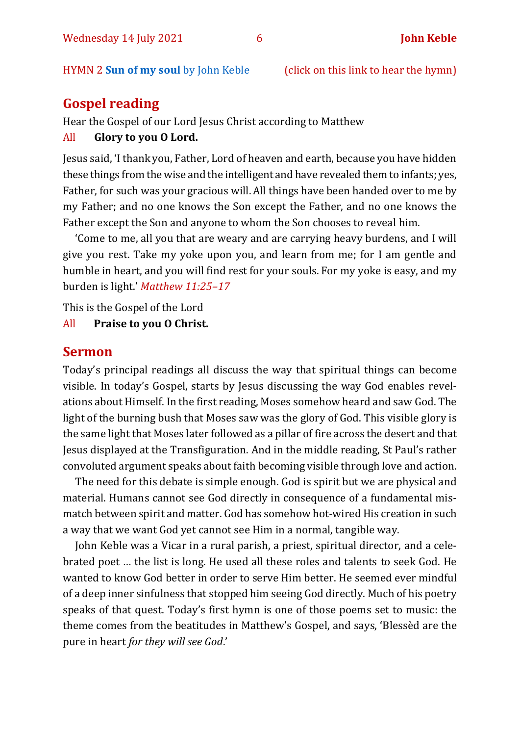#### HYMN 2 **[Sun of my soul](https://www.youtube.com/watch?v=-GJXA3JBQzc)** by John Keble (click on this link to hear the hymn)

# **Gospel reading**

Hear the Gospel of our Lord Jesus Christ according to Matthew

#### All **Glory to you O Lord.**

Jesus said, 'I thank you, Father, Lord of heaven and earth, because you have hidden these things from the wise and the intelligent and have revealed them to infants; yes, Father, for such was your gracious will. All things have been handed over to me by my Father; and no one knows the Son except the Father, and no one knows the Father except the Son and anyone to whom the Son chooses to reveal him.

'Come to me, all you that are weary and are carrying heavy burdens, and I will give you rest. Take my yoke upon you, and learn from me; for I am gentle and humble in heart, and you will find rest for your souls. For my yoke is easy, and my burden is light.' *Matthew 11:25–17*

This is the Gospel of the Lord

All **Praise to you O Christ.** 

#### **Sermon**

Today's principal readings all discuss the way that spiritual things can become visible. In today's Gospel, starts by Jesus discussing the way God enables revelations about Himself. In the first reading, Moses somehow heard and saw God. The light of the burning bush that Moses saw was the glory of God. This visible glory is the same light that Moses later followed as a pillar of fire across the desert and that Jesus displayed at the Transfiguration. And in the middle reading, St Paul's rather convoluted argument speaks about faith becoming visible through love and action.

The need for this debate is simple enough. God is spirit but we are physical and material. Humans cannot see God directly in consequence of a fundamental mismatch between spirit and matter. God has somehow hot-wired His creation in such a way that we want God yet cannot see Him in a normal, tangible way.

John Keble was a Vicar in a rural parish, a priest, spiritual director, and a celebrated poet … the list is long. He used all these roles and talents to seek God. He wanted to know God better in order to serve Him better. He seemed ever mindful of a deep inner sinfulness that stopped him seeing God directly. Much of his poetry speaks of that quest. Today's first hymn is one of those poems set to music: the theme comes from the beatitudes in Matthew's Gospel, and says, 'Blessèd are the pure in heart *for they will see God*.'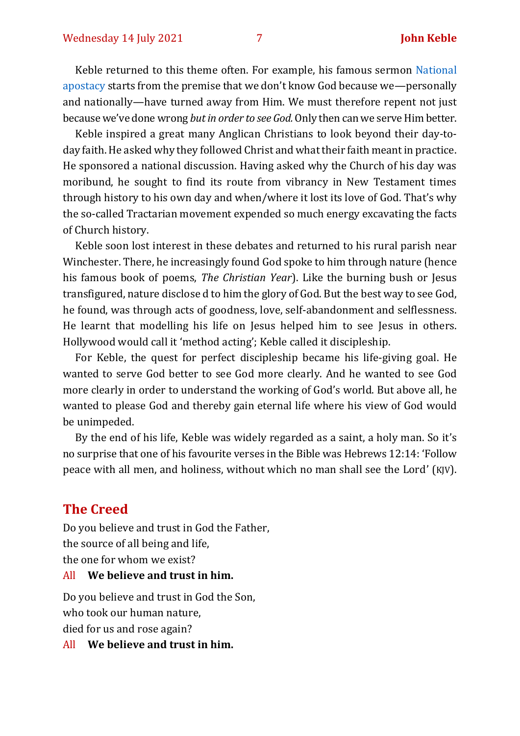Keble returned to this theme often. For example, his famous sermon [National](http://anglicanhistory.org/keble/keble1.html)  [apostacy](http://anglicanhistory.org/keble/keble1.html) starts from the premise that we don't know God because we—personally and nationally—have turned away from Him. We must therefore repent not just because we've done wrong *but in order to see God.* Only then can we serve Him better.

Keble inspired a great many Anglican Christians to look beyond their day-today faith. He asked why they followed Christ and what their faith meant in practice. He sponsored a national discussion. Having asked why the Church of his day was moribund, he sought to find its route from vibrancy in New Testament times through history to his own day and when/where it lost its love of God. That's why the so-called Tractarian movement expended so much energy excavating the facts of Church history.

Keble soon lost interest in these debates and returned to his rural parish near Winchester. There, he increasingly found God spoke to him through nature (hence his famous book of poems, *The Christian Year*). Like the burning bush or Jesus transfigured, nature disclose d to him the glory of God. But the best way to see God, he found, was through acts of goodness, love, self-abandonment and selflessness. He learnt that modelling his life on Jesus helped him to see Jesus in others. Hollywood would call it 'method acting'; Keble called it discipleship.

For Keble, the quest for perfect discipleship became his life-giving goal. He wanted to serve God better to see God more clearly. And he wanted to see God more clearly in order to understand the working of God's world. But above all, he wanted to please God and thereby gain eternal life where his view of God would be unimpeded.

By the end of his life, Keble was widely regarded as a saint, a holy man. So it's no surprise that one of his favourite verses in the Bible was Hebrews 12:14: 'Follow peace with all men, and holiness, without which no man shall see the Lord' (KJV).

# **The Creed**

Do you believe and trust in God the Father, the source of all being and life, the one for whom we exist?

#### All **We believe and trust in him.**

Do you believe and trust in God the Son, who took our human nature, died for us and rose again?

All **We believe and trust in him.**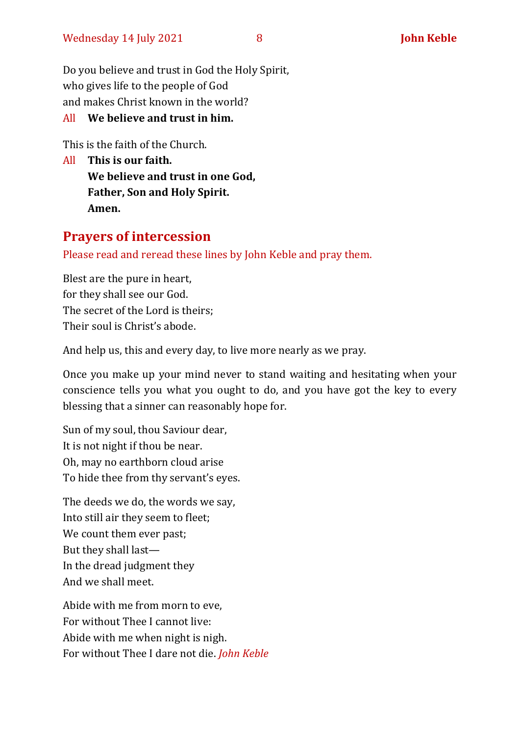Do you believe and trust in God the Holy Spirit, who gives life to the people of God and makes Christ known in the world?

### All **We believe and trust in him.**

This is the faith of the Church.

All **This is our faith. We believe and trust in one God, Father, Son and Holy Spirit. Amen.**

# **Prayers of intercession**

Please read and reread these lines by John Keble and pray them.

Blest are the pure in heart, for they shall see our God. The secret of the Lord is theirs; Their soul is Christ's abode.

And help us, this and every day, to live more nearly as we pray.

Once you make up your mind never to stand waiting and hesitating when your conscience tells you what you ought to do, and you have got the key to every blessing that a sinner can reasonably hope for.

Sun of my soul, thou Saviour dear, It is not night if thou be near. Oh, may no earthborn cloud arise To hide thee from thy servant's eyes.

The deeds we do, the words we say, Into still air they seem to fleet; We count them ever past; But they shall last— In the dread judgment they And we shall meet.

Abide with me from morn to eve, For without Thee I cannot live: Abide with me when night is nigh. For without Thee I dare not die. *John Keble*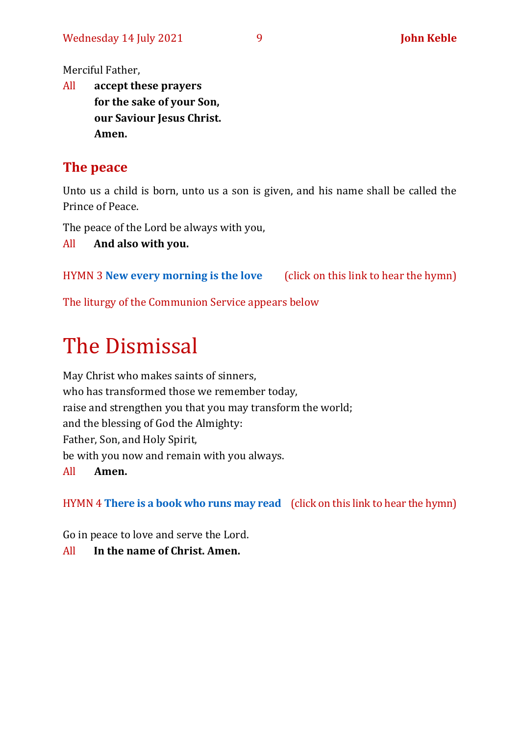Merciful Father,

All **accept these prayers for the sake of your Son, our Saviour Jesus Christ. Amen.**

# **The peace**

Unto us a child is born, unto us a son is given, and his name shall be called the Prince of Peace.

The peace of the Lord be always with you,

All **And also with you.**

HYMN 3 **[New every morning is the love](https://www.youtube.com/watch?v=QPZn-4ZyGJI)** (click on this link to hear the hymn)

The liturgy of the Communion Service appears below

# The Dismissal

May Christ who makes saints of sinners, who has transformed those we remember today, raise and strengthen you that you may transform the world; and the blessing of God the Almighty: Father, Son, and Holy Spirit, be with you now and remain with you always. All **Amen.**

HYMN 4 **[There is a book who runs may read](https://www.youtube.com/watch?v=eefT6Y3RAXg)** (click on this link to hear the hymn)

Go in peace to love and serve the Lord.

All **In the name of Christ. Amen.**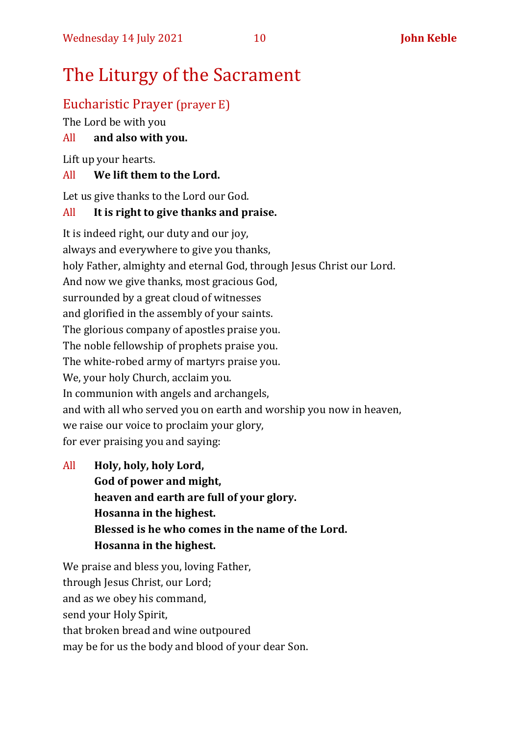# The Liturgy of the Sacrament

# Eucharistic Prayer (prayer E)

The Lord be with you

# All **and also with you.**

Lift up your hearts.

# All **We lift them to the Lord.**

Let us give thanks to the Lord our God.

# All **It is right to give thanks and praise.**

It is indeed right, our duty and our joy, always and everywhere to give you thanks, holy Father, almighty and eternal God, through Jesus Christ our Lord. And now we give thanks, most gracious God, surrounded by a great cloud of witnesses and glorified in the assembly of your saints. The glorious company of apostles praise you. The noble fellowship of prophets praise you. The white-robed army of martyrs praise you. We, your holy Church, acclaim you. In communion with angels and archangels, and with all who served you on earth and worship you now in heaven, we raise our voice to proclaim your glory, for ever praising you and saying:

All **Holy, holy, holy Lord, God of power and might, heaven and earth are full of your glory. Hosanna in the highest. Blessed is he who comes in the name of the Lord. Hosanna in the highest.**

We praise and bless you, loving Father, through Jesus Christ, our Lord; and as we obey his command, send your Holy Spirit, that broken bread and wine outpoured may be for us the body and blood of your dear Son.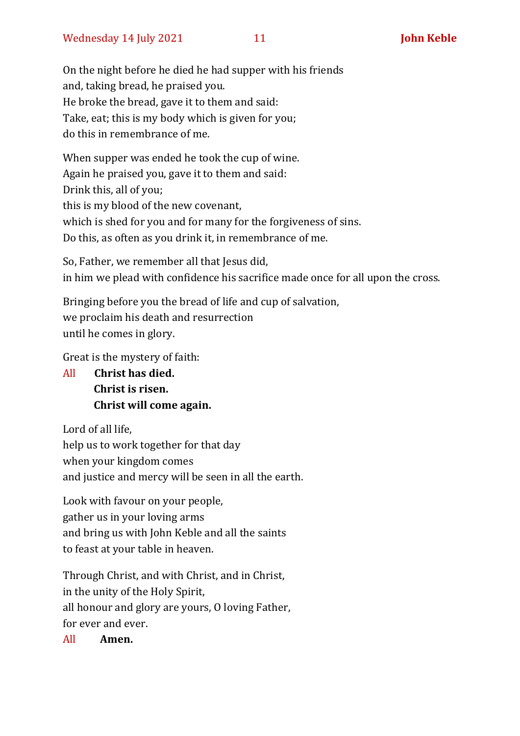On the night before he died he had supper with his friends and, taking bread, he praised you. He broke the bread, gave it to them and said: Take, eat; this is my body which is given for you; do this in remembrance of me.

When supper was ended he took the cup of wine. Again he praised you, gave it to them and said: Drink this, all of you; this is my blood of the new covenant, which is shed for you and for many for the forgiveness of sins. Do this, as often as you drink it, in remembrance of me.

So, Father, we remember all that Jesus did, in him we plead with confidence his sacrifice made once for all upon the cross.

Bringing before you the bread of life and cup of salvation, we proclaim his death and resurrection until he comes in glory.

Great is the mystery of faith:

All **Christ has died. Christ is risen. Christ will come again.**

Lord of all life, help us to work together for that day when your kingdom comes and justice and mercy will be seen in all the earth.

Look with favour on your people, gather us in your loving arms and bring us with John Keble and all the saints to feast at your table in heaven.

Through Christ, and with Christ, and in Christ, in the unity of the Holy Spirit, all honour and glory are yours, O loving Father, for ever and ever.

All **Amen.**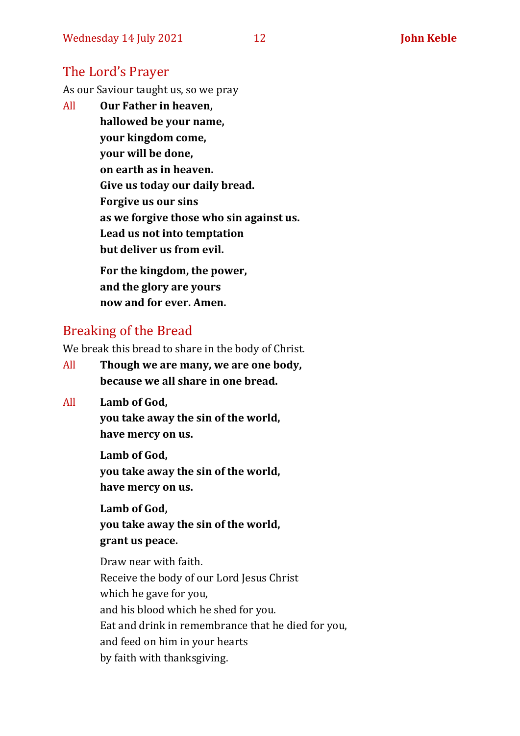# The Lord's Prayer

As our Saviour taught us, so we pray

All **Our Father in heaven, hallowed be your name, your kingdom come, your will be done, on earth as in heaven. Give us today our daily bread. Forgive us our sins as we forgive those who sin against us. Lead us not into temptation but deliver us from evil. For the kingdom, the power,** 

**and the glory are yours now and for ever. Amen.**

# Breaking of the Bread

We break this bread to share in the body of Christ.

- All **Though we are many, we are one body, because we all share in one bread.**
- All **Lamb of God,**

**you take away the sin of the world, have mercy on us.**

**Lamb of God, you take away the sin of the world, have mercy on us.**

**Lamb of God, you take away the sin of the world, grant us peace.**

Draw near with faith. Receive the body of our Lord Jesus Christ which he gave for you, and his blood which he shed for you. Eat and drink in remembrance that he died for you, and feed on him in your hearts by faith with thanksgiving.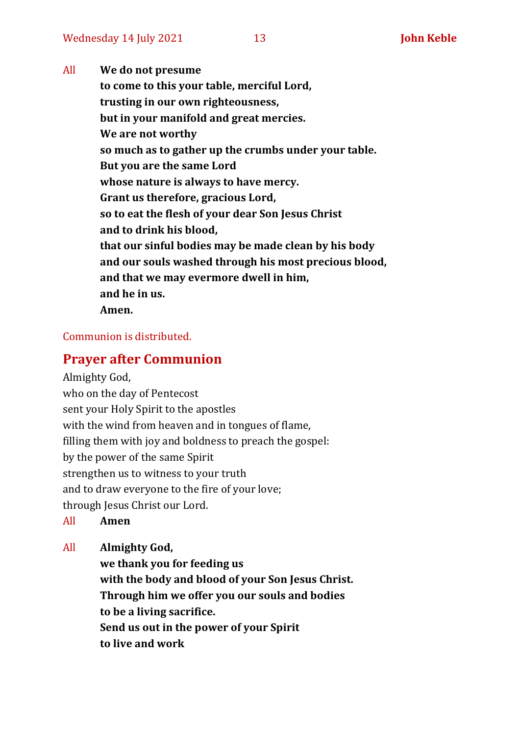All **We do not presume to come to this your table, merciful Lord, trusting in our own righteousness, but in your manifold and great mercies. We are not worthy so much as to gather up the crumbs under your table. But you are the same Lord whose nature is always to have mercy. Grant us therefore, gracious Lord, so to eat the flesh of your dear Son Jesus Christ and to drink his blood, that our sinful bodies may be made clean by his body and our souls washed through his most precious blood, and that we may evermore dwell in him, and he in us. Amen.**

### Communion is distributed.

# **Prayer after Communion**

Almighty God,

who on the day of Pentecost sent your Holy Spirit to the apostles with the wind from heaven and in tongues of flame, filling them with joy and boldness to preach the gospel: by the power of the same Spirit strengthen us to witness to your truth and to draw everyone to the fire of your love; through Jesus Christ our Lord.

All **Amen**

All **Almighty God,**

**we thank you for feeding us with the body and blood of your Son Jesus Christ. Through him we offer you our souls and bodies to be a living sacrifice. Send us out in the power of your Spirit to live and work**